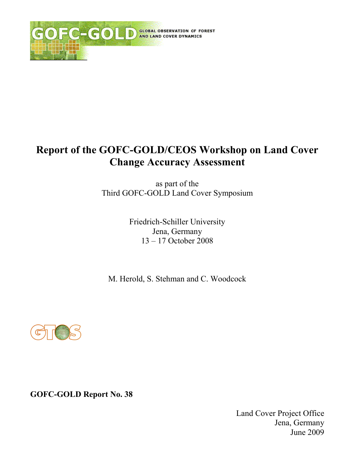

# Report of the GOFC-GOLD/CEOS Workshop on Land Cover **Change Accuracy Assessment**

as part of the Third GOFC-GOLD Land Cover Symposium

> Friedrich-Schiller University Jena, Germany  $13 - 17$  October 2008

M. Herold, S. Stehman and C. Woodcock



**GOFC-GOLD Report No. 38** 

Land Cover Project Office Jena, Germany June 2009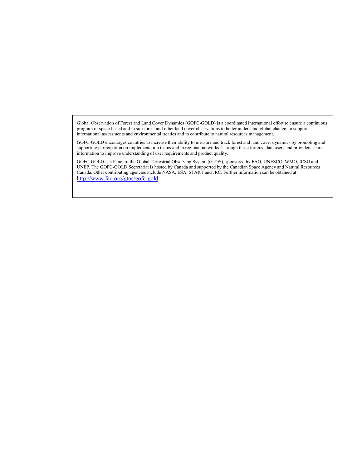Global Observation of Forest and Land Cover Dynamics (GOFC-GOLD) is a coordinated international effort to ensure a continuous program of space-based and in situ forest and other land cover observations to better understand global change, to support international assessments and environmental treaties and to contribute to natural resources management.

GOFC-GOLD encourages countries to increase their ability to measure and track forest and land cover dynamics by promoting and supporting participation on implementation teams and in regional networks. Through these forums, data users and providers share information to improve understanding of user requirements and product quality.

GOFC-GOLD is a Panel of the Global Terrestrial Observing System (GTOS), sponsored by FAO, UNESCO, WMO, ICSU and UNEP. The GOFC-GOLD Secretariat is hosted by Canada and supported by the Canadian Space Agency and Natural Resources Canada. Other contributing agencies include NASA, ESA, START and JRC. Further information can be obtained at http://www.fao.org/gtos/gofc-gold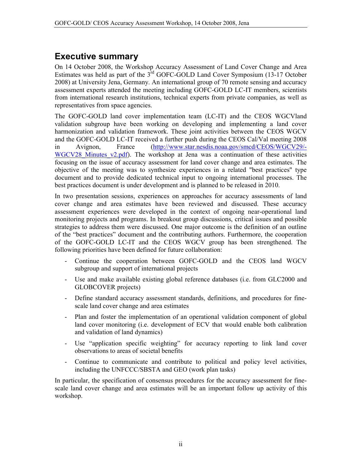## **Executive summary**

On 14 October 2008, the Workshop Accuracy Assessment of Land Cover Change and Area Estimates was held as part of the  $3^{rd}$  GOFC-GOLD Land Cover Symposium (13-17 October 2008) at University Jena, Germany. An international group of 70 remote sensing and accuracy assessment experts attended the meeting including GOFC-GOLD LC-IT members, scientists from international research institutions, technical experts from private companies, as well as representatives from space agencies.

The GOFC-GOLD land cover implementation team (LC-IT) and the CEOS WGCVland validation subgroup have been working on developing and implementing a land cover harmonization and validation framework. These joint activities between the CEOS WGCV and the GOFC-GOLD LC-IT received a further push during the CEOS Cal/Val meeting 2008  $in$ Avignon, France (http://www.star.nesdis.noaa.gov/smcd/CEOS/WGCV29/-WGCV28 Minutes  $v2.pdf$ . The workshop at Jena was a continuation of these activities focusing on the issue of accuracy assessment for land cover change and area estimates. The objective of the meeting was to synthesize experiences in a related "best practices" type document and to provide dedicated technical input to ongoing international processes. The best practices document is under development and is planned to be released in 2010.

In two presentation sessions, experiences on approaches for accuracy assessments of land cover change and area estimates have been reviewed and discussed. These accuracy assessment experiences were developed in the context of ongoing near-operational land monitoring projects and programs. In breakout group discussions, critical issues and possible strategies to address them were discussed. One major outcome is the definition of an outline of the "best practices" document and the contributing authors. Furthermore, the cooperation of the GOFC-GOLD LC-IT and the CEOS WGCV group has been strengthened. The following priorities have been defined for future collaboration:

- Continue the cooperation between GOFC-GOLD and the CEOS land WGCV subgroup and support of international projects
- Use and make available existing global reference databases (i.e. from GLC2000 and GLOBCOVER projects)
- Define standard accuracy assessment standards, definitions, and procedures for finescale land cover change and area estimates
- Plan and foster the implementation of an operational validation component of global land cover monitoring (i.e. development of ECV that would enable both calibration and validation of land dynamics)
- Use "application specific weighting" for accuracy reporting to link land cover observations to areas of societal benefits
- Continue to communicate and contribute to political and policy level activities, including the UNFCCC/SBSTA and GEO (work plan tasks)

In particular, the specification of consensus procedures for the accuracy assessment for finescale land cover change and area estimates will be an important follow up activity of this workshop.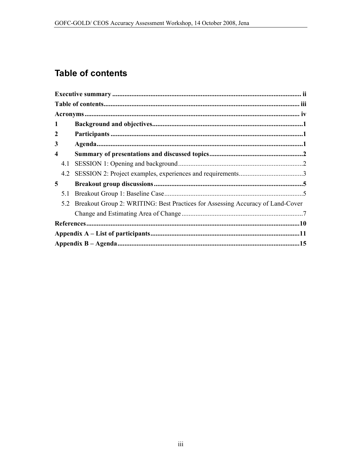# **Table of contents**

| 1                |                                                                                |  |  |
|------------------|--------------------------------------------------------------------------------|--|--|
| 2                |                                                                                |  |  |
| 3                |                                                                                |  |  |
| $\boldsymbol{4}$ |                                                                                |  |  |
| 4.1              |                                                                                |  |  |
| 4.2              |                                                                                |  |  |
| 5                |                                                                                |  |  |
| 5.1              |                                                                                |  |  |
| 5.2              | Breakout Group 2: WRITING: Best Practices for Assessing Accuracy of Land-Cover |  |  |
|                  |                                                                                |  |  |
|                  |                                                                                |  |  |
|                  |                                                                                |  |  |
|                  |                                                                                |  |  |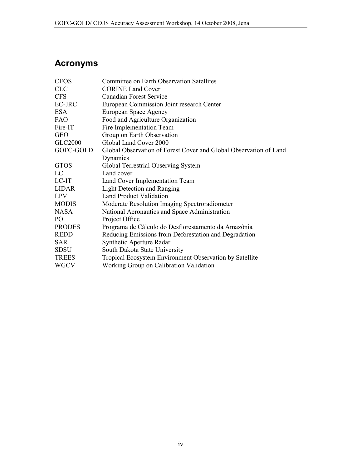## **Acronyms**

| <b>CEOS</b>                                                                    | <b>Committee on Earth Observation Satellites</b>        |
|--------------------------------------------------------------------------------|---------------------------------------------------------|
| <b>CLC</b>                                                                     | <b>CORINE Land Cover</b>                                |
| <b>CFS</b>                                                                     | <b>Canadian Forest Service</b>                          |
| EC-JRC                                                                         | European Commission Joint research Center               |
| <b>ESA</b>                                                                     | European Space Agency                                   |
| <b>FAO</b>                                                                     | Food and Agriculture Organization                       |
| Fire-IT                                                                        | Fire Implementation Team                                |
| <b>GEO</b>                                                                     | Group on Earth Observation                              |
| <b>GLC2000</b>                                                                 | Global Land Cover 2000                                  |
| GOFC-GOLD<br>Global Observation of Forest Cover and Global Observation of Land |                                                         |
|                                                                                | Dynamics                                                |
| <b>GTOS</b>                                                                    | Global Terrestrial Observing System                     |
| LC                                                                             | Land cover                                              |
| LC-IT                                                                          | Land Cover Implementation Team                          |
| <b>LIDAR</b>                                                                   | <b>Light Detection and Ranging</b>                      |
| <b>LPV</b>                                                                     | <b>Land Product Validation</b>                          |
| <b>MODIS</b>                                                                   | Moderate Resolution Imaging Spectroradiometer           |
| <b>NASA</b>                                                                    | National Aeronautics and Space Administration           |
| PO                                                                             | Project Office                                          |
| <b>PRODES</b>                                                                  | Programa de Cálculo do Desflorestamento da Amazônia     |
| <b>REDD</b>                                                                    | Reducing Emissions from Deforestation and Degradation   |
| <b>SAR</b>                                                                     | Synthetic Aperture Radar                                |
| <b>SDSU</b>                                                                    | South Dakota State University                           |
| <b>TREES</b>                                                                   | Tropical Ecosystem Environment Observation by Satellite |
| <b>WGCV</b>                                                                    | Working Group on Calibration Validation                 |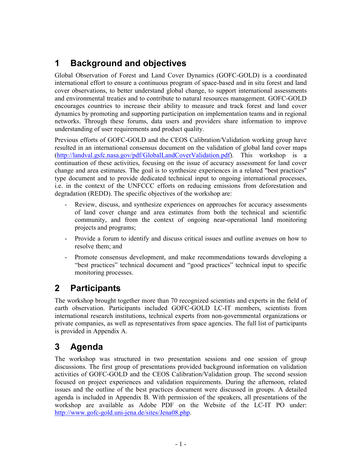#### $\mathbf 1$ **Background and objectives**

Global Observation of Forest and Land Cover Dynamics (GOFC-GOLD) is a coordinated international effort to ensure a continuous program of space-based and in situ forest and land cover observations, to better understand global change, to support international assessments and environmental treaties and to contribute to natural resources management. GOFC-GOLD encourages countries to increase their ability to measure and track forest and land cover dynamics by promoting and supporting participation on implementation teams and in regional networks. Through these forums, data users and providers share information to improve understanding of user requirements and product quality.

Previous efforts of GOFC-GOLD and the CEOS Calibration/Validation working group have resulted in an international consensus document on the validation of global land cover maps (http://landval.gsfc.nasa.gov/pdf/GlobalLandCoverValidation.pdf). This workshop is a continuation of these activities, focusing on the issue of accuracy assessment for land cover change and area estimates. The goal is to synthesize experiences in a related "best practices" type document and to provide dedicated technical input to ongoing international processes, i.e. in the context of the UNFCCC efforts on reducing emissions from deforestation and degradation (REDD). The specific objectives of the workshop are:

- Review, discuss, and synthesize experiences on approaches for accuracy assessments of land cover change and area estimates from both the technical and scientific community, and from the context of ongoing near-operational land monitoring projects and programs;
- Provide a forum to identify and discuss critical issues and outline avenues on how to resolve them; and
- Promote consensus development, and make recommendations towards developing a L, "best practices" technical document and "good practices" technical input to specific monitoring processes.

#### $\overline{2}$ **Participants**

The workshop brought together more than 70 recognized scientists and experts in the field of earth observation. Participants included GOFC-GOLD LC-IT members, scientists from international research institutions, technical experts from non-governmental organizations or private companies, as well as representatives from space agencies. The full list of participants is provided in Appendix A.

#### 3 Agenda

The workshop was structured in two presentation sessions and one session of group discussions. The first group of presentations provided background information on validation activities of GOFC-GOLD and the CEOS Calibration/Validation group. The second session focused on project experiences and validation requirements. During the afternoon, related issues and the outline of the best practices document were discussed in groups. A detailed agenda is included in Appendix B. With permission of the speakers, all presentations of the workshop are available as Adobe PDF on the Website of the LC-IT PO under: http://www.gofc-gold.uni-jena.de/sites/Jena08.php.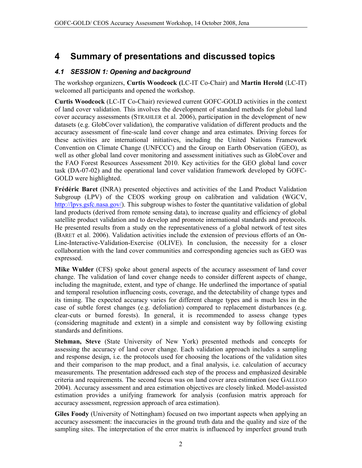#### $\overline{\mathbf{4}}$ Summary of presentations and discussed topics

### 4.1 SESSION 1: Opening and background

The workshop organizers, Curtis Woodcock (LC-IT Co-Chair) and Martin Herold (LC-IT) welcomed all participants and opened the workshop.

Curtis Woodcock (LC-IT Co-Chair) reviewed current GOFC-GOLD activities in the context of land cover validation. This involves the development of standard methods for global land cover accuracy assessments (STRAHLER et al. 2006), participation in the development of new datasets (e.g. GlobCover validation), the comparative validation of different products and the accuracy assessment of fine-scale land cover change and area estimates. Driving forces for these activities are international initiatives, including the United Nations Framework Convention on Climate Change (UNFCCC) and the Group on Earth Observation (GEO), as well as other global land cover monitoring and assessment initiatives such as GlobCover and the FAO Forest Resources Assessment 2010. Key activities for the GEO global land cover task (DA-07-02) and the operational land cover validation framework developed by GOFC-GOLD were highlighted.

Frédéric Baret (INRA) presented objectives and activities of the Land Product Validation Subgroup (LPV) of the CEOS working group on calibration and validation (WGCV, http://lpvs.gsfc.nasa.gov/). This subgroup wishes to foster the quantitative validation of global land products (derived from remote sensing data), to increase quality and efficiency of global satellite product validation and to develop and promote international standards and protocols. He presented results from a study on the representativeness of a global network of test sites (BARET et al. 2006). Validation activities include the extension of previous efforts of an On-Line-Interactive-Validation-Exercise (OLIVE). In conclusion, the necessity for a closer collaboration with the land cover communities and corresponding agencies such as GEO was expressed.

**Mike Wulder** (CFS) spoke about general aspects of the accuracy assessment of land cover change. The validation of land cover change needs to consider different aspects of change, including the magnitude, extent, and type of change. He underlined the importance of spatial and temporal resolution influencing costs, coverage, and the detectability of change types and its timing. The expected accuracy varies for different change types and is much less in the case of subtle forest changes (e.g. defoliation) compared to replacement disturbances (e.g. clear-cuts or burned forests). In general, it is recommended to assess change types (considering magnitude and extent) in a simple and consistent way by following existing standards and definitions.

Stehman, Steve (State University of New York) presented methods and concepts for assessing the accuracy of land cover change. Each validation approach includes a sampling and response design, i.e. the protocols used for choosing the locations of the validation sites and their comparison to the map product, and a final analysis, i.e. calculation of accuracy measurements. The presentation addressed each step of the process and emphasized desirable criteria and requirements. The second focus was on land cover area estimation (see GALLEGO 2004). Accuracy assessment and area estimation objectives are closely linked. Model-assisted estimation provides a unifying framework for analysis (confusion matrix approach for accuracy assessment, regression approach of area estimation).

Giles Foody (University of Nottingham) focused on two important aspects when applying an accuracy assessment: the inaccuracies in the ground truth data and the quality and size of the sampling sites. The interpretation of the error matrix is influenced by imperfect ground truth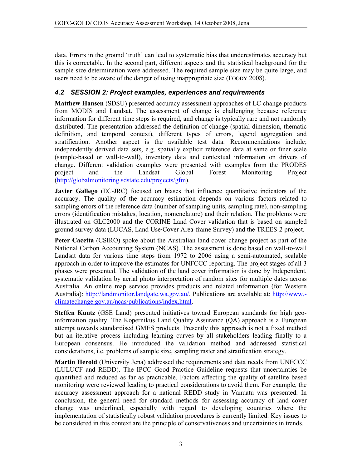data. Errors in the ground 'truth' can lead to systematic bias that underestimates accuracy but this is correctable. In the second part, different aspects and the statistical background for the sample size determination were addressed. The required sample size may be quite large, and users need to be aware of the danger of using inappropriate size (FOODY 2008).

### 4.2 SESSION 2: Project examples, experiences and requirements

Matthew Hansen (SDSU) presented accuracy assessment approaches of LC change products from MODIS and Landsat. The assessment of change is challenging because reference information for different time steps is required, and change is typically rare and not randomly distributed. The presentation addressed the definition of change (spatial dimension, thematic definition, and temporal context), different types of errors, legend aggregation and stratification. Another aspect is the available test data. Recommendations include; independently derived data sets, e.g. spatially explicit reference data at same or finer scale (sample-based or wall-to-wall), inventory data and contextual information on drivers of change. Different validation examples were presented with examples from the PRODES project and the Landsat Global Forest Monitoring Project  $(http://global monitoring.sdstate.edu/projects/gfm).$ 

Javier Gallego (EC-JRC) focused on biases that influence quantitative indicators of the accuracy. The quality of the accuracy estimation depends on various factors related to sampling errors of the reference data (number of sampling units, sampling rate), non-sampling errors (identification mistakes, location, nomenclature) and their relation. The problems were illustrated on GLC2000 and the CORINE Land Cover validation that is based on sampled ground survey data (LUCAS, Land Use/Cover Area-frame Survey) and the TREES-2 project.

Peter Cacetta (CSIRO) spoke about the Australian land cover change project as part of the National Carbon Accounting System (NCAS). The assessment is done based on wall-to-wall Landsat data for various time steps from 1972 to 2006 using a semi-automated, scalable approach in order to improve the estimates for UNFCCC reporting. The project stages of all 3 phases were presented. The validation of the land cover information is done by Independent, systematic validation by aerial photo interpretation of random sites for multiple dates across Australia. An online map service provides products and related information (for Western Australia): http://landmonitor.landgate.wa.gov.au/. Publications are available at: http://www.climatechange.gov.au/ncas/publications/index.html.

Steffen Kuntz (GSE Land) presented initiatives toward European standards for high geoinformation quality. The Kopernikus Land Quality Assurance (QA) approach is a European attempt towards standardised GMES products. Presently this approach is not a fixed method but an iterative process including learning curves by all stakeholders leading finally to a European consensus. He introduced the validation method and addressed statistical considerations, i.e. problems of sample size, sampling raster and stratification strategy.

Martin Herold (University Jena) addressed the requirements and data needs from UNFCCC (LULUCF and REDD). The IPCC Good Practice Guideline requests that uncertainties be quantified and reduced as far as practicable. Factors affecting the quality of satellite based monitoring were reviewed leading to practical considerations to avoid them. For example, the accuracy assessment approach for a national REDD study in Vanuatu was presented. In conclusion, the general need for standard methods for assessing accuracy of land cover change was underlined, especially with regard to developing countries where the implementation of statistically robust validation procedures is currently limited. Key issues to be considered in this context are the principle of conservativeness and uncertainties in trends.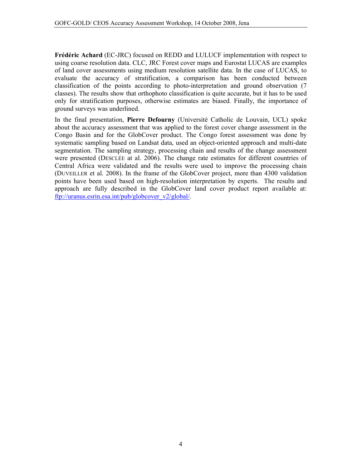Frédéric Achard (EC-JRC) focused on REDD and LULUCF implementation with respect to using coarse resolution data. CLC, JRC Forest cover maps and Eurostat LUCAS are examples of land cover assessments using medium resolution satellite data. In the case of LUCAS, to evaluate the accuracy of stratification, a comparison has been conducted between classification of the points according to photo-interpretation and ground observation (7) classes). The results show that orthophoto classification is quite accurate, but it has to be used only for stratification purposes, otherwise estimates are biased. Finally, the importance of ground surveys was underlined.

In the final presentation, Pierre Defourny (Université Catholic de Louvain, UCL) spoke about the accuracy assessment that was applied to the forest cover change assessment in the Congo Basin and for the GlobCover product. The Congo forest assessment was done by systematic sampling based on Landsat data, used an object-oriented approach and multi-date segmentation. The sampling strategy, processing chain and results of the change assessment were presented (DESCLÉE at al. 2006). The change rate estimates for different countries of Central Africa were validated and the results were used to improve the processing chain (DUVEILLER et al. 2008). In the frame of the GlobCover project, more than 4300 validation points have been used based on high-resolution interpretation by experts. The results and approach are fully described in the GlobCover land cover product report available at:  $ftp://uranus.esrin.esa.int/public/cloboover v2/global/$ .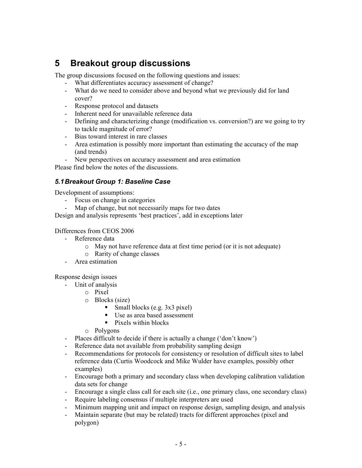#### **Breakout group discussions** 5

The group discussions focused on the following questions and issues:

- What differentiates accuracy assessment of change?
- What do we need to consider above and beyond what we previously did for land cover?
- Response protocol and datasets
- Inherent need for unavailable reference data
- Defining and characterizing change (modification vs. conversion?) are we going to try to tackle magnitude of error?
- Bias toward interest in rare classes
- Area estimation is possibly more important than estimating the accuracy of the map (and trends)
- New perspectives on accuracy assessment and area estimation

Please find below the notes of the discussions.

### 5.1 Breakout Group 1: Baseline Case

Development of assumptions:

- Focus on change in categories
- Map of change, but not necessarily maps for two dates

Design and analysis represents 'best practices', add in exceptions later

### Differences from CEOS 2006

- Reference data
	- May not have reference data at first time period (or it is not adequate)
	- o Rarity of change classes
	- Area estimation

Response design issues

- Unit of analysis
	- $\circ$  Pixel
	- $\circ$  Blocks (size)
		- Small blocks (e.g.  $3x3$  pixel)
		- Use as area based assessment
		- $\blacksquare$  Pixels within blocks
	- $\circ$  Polvgons
- Places difficult to decide if there is actually a change ('don't know')
- Reference data not available from probability sampling design
- Recommendations for protocols for consistency or resolution of difficult sites to label reference data (Curtis Woodcock and Mike Wulder have examples, possibly other examples)
- Encourage both a primary and secondary class when developing calibration validation data sets for change
- Encourage a single class call for each site (i.e., one primary class, one secondary class)
- Require labeling consensus if multiple interpreters are used
- Minimum mapping unit and impact on response design, sampling design, and analysis
- Maintain separate (but may be related) tracts for different approaches (pixel and polygon)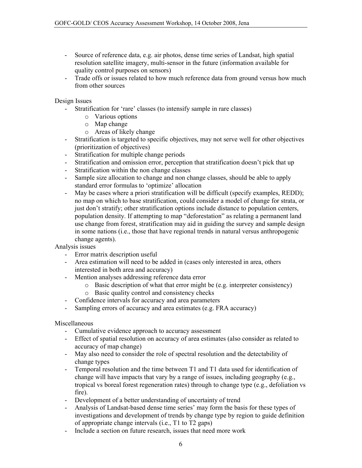- Source of reference data, e.g. air photos, dense time series of Landsat, high spatial resolution satellite imagery, multi-sensor in the future (information available for quality control purposes on sensors)
- Trade offs or issues related to how much reference data from ground versus how much  $\frac{1}{2}$ from other sources

Design Issues

- Stratification for 'rare' classes (to intensify sample in rare classes)  $\Delta \phi$ 
	- o Various options
	- $\circ$  Map change
	- o Areas of likely change
- $\frac{1}{2}$ Stratification is targeted to specific objectives, may not serve well for other objectives (prioritization of objectives)
- Stratification for multiple change periods
- Stratification and omission error, perception that stratification doesn't pick that up
- Stratification within the non change classes
- Sample size allocation to change and non change classes, should be able to apply standard error formulas to 'optimize' allocation
- May be cases where a priori stratification will be difficult (specify examples, REDD); no map on which to base stratification, could consider a model of change for strata, or just don't stratify; other stratification options include distance to population centers, population density. If attempting to map "deforestation" as relating a permanent land use change from forest, stratification may aid in guiding the survey and sample design in some nations (i.e., those that have regional trends in natural versus anthropogenic change agents).

Analysis issues

- Error matrix description useful
- Area estimation will need to be added in (cases only interested in area, others interested in both area and accuracy)
- Mention analyses addressing reference data error
	- o Basic description of what that error might be (e.g. interpreter consistency)
	- o Basic quality control and consistency checks
- Confidence intervals for accuracy and area parameters
- $\omega$  . Sampling errors of accuracy and area estimates (e.g. FRA accuracy)

Miscellaneous

- Cumulative evidence approach to accuracy assessment
- Effect of spatial resolution on accuracy of area estimates (also consider as related to accuracy of map change)
- May also need to consider the role of spectral resolution and the detectability of change types
- Temporal resolution and the time between T1 and T1 data used for identification of  $\omega_{\rm{max}}$ change will have impacts that vary by a range of issues, including geography (e.g., tropical vs boreal forest regeneration rates) through to change type (e.g., defoliation vs fire).
- Development of a better understanding of uncertainty of trend
- Analysis of Landsat-based dense time series' may form the basis for these types of investigations and development of trends by change type by region to guide definition of appropriate change intervals (i.e., T1 to T2 gaps)
- Include a section on future research, issues that need more work  $\omega_{\rm{max}}$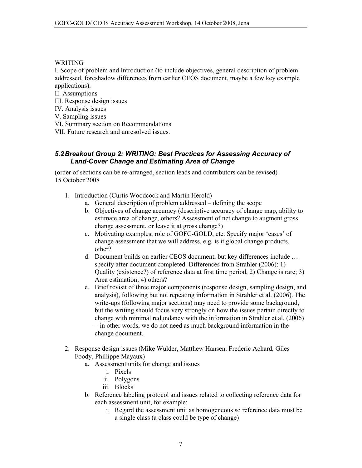**WRITING** 

I. Scope of problem and Introduction (to include objectives, general description of problem addressed, foreshadow differences from earlier CEOS document, maybe a few key example applications).

- II. Assumptions
- III. Response design issues
- IV. Analysis issues

V. Sampling issues

- VI. Summary section on Recommendations
- VII Future research and unresolved issues

### 5.2 Breakout Group 2: WRITING: Best Practices for Assessing Accuracy of **Land-Cover Change and Estimating Area of Change**

(order of sections can be re-arranged, section leads and contributors can be revised) 15 October 2008

- 1. Introduction (Curtis Woodcock and Martin Herold)
	- a. General description of problem addressed defining the scope
	- b. Objectives of change accuracy (descriptive accuracy of change map, ability to estimate area of change, others? Assessment of net change to augment gross change assessment, or leave it at gross change?)
	- c. Motivating examples, role of GOFC-GOLD, etc. Specify major 'cases' of change assessment that we will address, e.g. is it global change products, other?
	- d. Document builds on earlier CEOS document, but key differences include ... specify after document completed. Differences from Strahler (2006): 1) Quality (existence?) of reference data at first time period, 2) Change is rare; 3) Area estimation; 4) others?
	- e. Brief revisit of three major components (response design, sampling design, and analysis), following but not repeating information in Strahler et al. (2006). The write-ups (following major sections) may need to provide some background, but the writing should focus very strongly on how the issues pertain directly to change with minimal redundancy with the information in Strahler et al. (2006)  $-$  in other words, we do not need as much background information in the change document.
- 2. Response design issues (Mike Wulder, Matthew Hansen, Frederic Achard, Giles Foody, Phillippe Mayaux)
	- a. Assessment units for change and issues
		- i. Pixels
		- ii. Polygons
		- iii. Blocks
	- b. Reference labeling protocol and issues related to collecting reference data for each assessment unit, for example:
		- i. Regard the assessment unit as homogeneous so reference data must be a single class (a class could be type of change)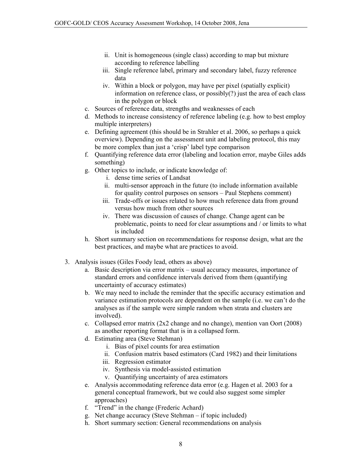- ii. Unit is homogeneous (single class) according to map but mixture according to reference labelling
- iii. Single reference label, primary and secondary label, fuzzy reference data
- iv. Within a block or polygon, may have per pixel (spatially explicit) information on reference class, or possibly $(?)$  just the area of each class in the polygon or block
- c. Sources of reference data, strengths and weaknesses of each
- d. Methods to increase consistency of reference labeling (e.g. how to best employ multiple interpreters)
- e. Defining agreement (this should be in Strahler et al. 2006, so perhaps a quick overview). Depending on the assessment unit and labeling protocol, this may be more complex than just a 'crisp' label type comparison
- f. Quantifying reference data error (labeling and location error, maybe Giles adds something)
- g. Other topics to include, or indicate knowledge of:
	- i. dense time series of Landsat
	- ii. multi-sensor approach in the future (to include information available for quality control purposes on sensors – Paul Stephens comment)
	- iii. Trade-offs or issues related to how much reference data from ground versus how much from other sources
	- iv. There was discussion of causes of change. Change agent can be problematic, points to need for clear assumptions and / or limits to what is included
- h. Short summary section on recommendations for response design, what are the best practices, and maybe what are practices to avoid.
- 3. Analysis issues (Giles Foody lead, others as above)
	- a. Basic description via error matrix usual accuracy measures, importance of standard errors and confidence intervals derived from them (quantifying uncertainty of accuracy estimates)
	- b. We may need to include the reminder that the specific accuracy estimation and variance estimation protocols are dependent on the sample (i.e. we can't do the analyses as if the sample were simple random when strata and clusters are involved).
	- c. Collapsed error matrix  $(2x2 \text{ change and no change})$ , mention van Oort  $(2008)$ as another reporting format that is in a collapsed form.
	- d. Estimating area (Steve Stehman)
		- i. Bias of pixel counts for area estimation
		- ii. Confusion matrix based estimators (Card 1982) and their limitations
		- iii. Regression estimator
		- iv. Synthesis via model-assisted estimation
		- v. Quantifying uncertainty of area estimators
	- e. Analysis accommodating reference data error (e.g. Hagen et al. 2003 for a general conceptual framework, but we could also suggest some simpler approaches)
	- f. "Trend" in the change (Frederic Achard)
	- g. Net change accuracy (Steve Stehman if topic included)
	- h. Short summary section: General recommendations on analysis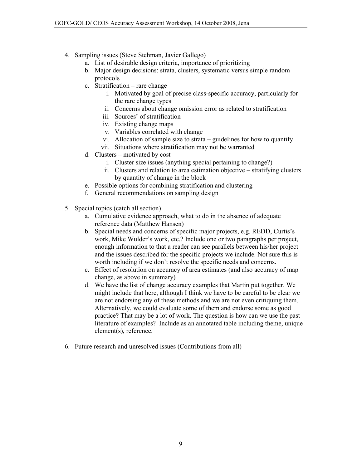- 4. Sampling issues (Steve Stehman, Javier Gallego)
	- a. List of desirable design criteria, importance of prioritizing
	- b. Major design decisions: strata, clusters, systematic versus simple random protocols
	- c. Stratification rare change
		- i. Motivated by goal of precise class-specific accuracy, particularly for the rare change types
		- ii. Concerns about change omission error as related to stratification
		- iii. Sources' of stratification
		- iv. Existing change maps
		- v. Variables correlated with change
		- vi. Allocation of sample size to strata guidelines for how to quantify
		- vii. Situations where stratification may not be warranted
	- d. Clusters motivated by cost
		- i. Cluster size issues (anything special pertaining to change?)
		- ii. Clusters and relation to area estimation objective stratifying clusters by quantity of change in the block
	- e. Possible options for combining stratification and clustering
	- f. General recommendations on sampling design
- 5. Special topics (catch all section)
	- a. Cumulative evidence approach, what to do in the absence of adequate reference data (Matthew Hansen)
	- b. Special needs and concerns of specific major projects, e.g. REDD, Curtis's work, Mike Wulder's work, etc.? Include one or two paragraphs per project, enough information to that a reader can see parallels between his/her project and the issues described for the specific projects we include. Not sure this is worth including if we don't resolve the specific needs and concerns.
	- c. Effect of resolution on accuracy of area estimates (and also accuracy of map change, as above in summary)
	- d. We have the list of change accuracy examples that Martin put together. We might include that here, although I think we have to be careful to be clear we are not endorsing any of these methods and we are not even critiquing them. Alternatively, we could evaluate some of them and endorse some as good practice? That may be a lot of work. The question is how can we use the past literature of examples? Include as an annotated table including theme, unique element(s), reference.
- 6. Future research and unresolved issues (Contributions from all)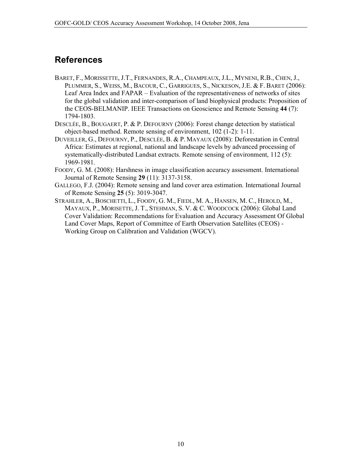## **References**

- BARET, F., MORISSETTE, J.T., FERNANDES, R.A., CHAMPEAUX, J.L., MYNENI, R.B., CHEN, J., PLUMMER, S., WEISS, M., BACOUR, C., GARRIGUES, S., NICKESON, J.E. & F. BARET (2006): Leaf Area Index and FAPAR – Evaluation of the representativeness of networks of sites for the global validation and inter-comparison of land biophysical products: Proposition of the CEOS-BELMANIP. IEEE Transactions on Geoscience and Remote Sensing 44 (7): 1794-1803.
- DESCLÉE, B., BOUGAERT, P. & P. DEFOURNY (2006): Forest change detection by statistical object-based method. Remote sensing of environment, 102 (1-2): 1-11.
- DUVEILLER, G., DEFOURNY, P., DESCLÉE, B. & P. MAYAUX (2008): Deforestation in Central Africa: Estimates at regional, national and landscape levels by advanced processing of systematically-distributed Landsat extracts. Remote sensing of environment. 112(5): 1969-1981.
- FOODY, G. M. (2008): Harshness in image classification accuracy assessment. International Journal of Remote Sensing 29 (11): 3137-3158.
- GALLEGO, F.J. (2004): Remote sensing and land cover area estimation. International Journal of Remote Sensing 25 (5): 3019-3047.
- STRAHLER, A., BOSCHETTI, L., FOODY, G. M., FIEDL, M. A., HANSEN, M. C., HEROLD, M., MAYAUX, P., MORISETTE, J. T., STEHMAN, S. V. & C. WOODCOCK (2006): Global Land Cover Validation: Recommendations for Evaluation and Accuracy Assessment Of Global Land Cover Maps, Report of Committee of Earth Observation Satellites (CEOS) -Working Group on Calibration and Validation (WGCV).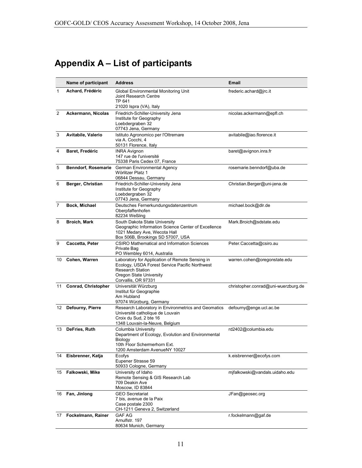# Appendix A - List of participants

|                | Name of participant        | <b>Address</b>                                                                                                                                                                 | Email                               |
|----------------|----------------------------|--------------------------------------------------------------------------------------------------------------------------------------------------------------------------------|-------------------------------------|
| $\mathbf{1}$   | Achard, Frédéric           | <b>Global Environmental Monitoring Unit</b><br>Joint Research Centre<br>TP 641<br>21020 Ispra (VA), Italy                                                                      | frederic.achard@jrc.it              |
| $\overline{2}$ | Ackermann, Nicolas         | Friedrich-Schiller-University Jena<br>Institute for Geography<br>Loebdergraben 32<br>07743 Jena, Germany                                                                       | nicolas.ackermann@epfl.ch           |
| 3              | Avitabile, Valerio         | Istituto Agronomico per l'Oltremare<br>via A. Cocchi, 4<br>50131 Florence, Italy                                                                                               | avitabile@iao.florence.it           |
| 4              | Baret, Fredéric            | <b>INRA Avignon</b><br>147 rue de l'université<br>75338 Paris Cedex 07, France                                                                                                 | baret@avignon.inra.fr               |
| 5              | <b>Benndorf, Rosemarie</b> | German Environmental Agency<br>Wörlitzer Platz 1<br>06844 Dessau, Germany                                                                                                      | rosemarie.benndorf@uba.de           |
| 6              | Berger, Christian          | Friedrich-Schiller-University Jena<br>Institute for Geography<br>Loebdergraben 32<br>07743 Jena, Germany                                                                       | Christian.Berger@uni-jena.de        |
| $\overline{7}$ | Bock, Michael              | Deutsches Fernerkundungsdatenzentrum<br>Oberpfaffenhofen<br>82234 Weßling                                                                                                      | michael.bock@dlr.de                 |
| 8              | Broich, Mark               | South Dakota State University<br>Geographic Information Science Center of Excellence<br>1021 Medary Ave, Wecota Hall<br>Box 506B, Brookings SD 57007, USA                      | Mark.Broich@sdstate.edu             |
| 9              | Caccetta, Peter            | <b>CSIRO Mathematical and Information Sciences</b><br>Private Bag<br>PO Wembley 6014, Australia                                                                                | Peter.Caccetta@csiro.au             |
| 10             | Cohen, Warren              | Laboratory for Application of Remote Sensing in<br>Ecology, USDA Forest Service Pacific Northwest<br><b>Research Station</b><br>Oregon State University<br>Corvallis, OR 97331 | warren.cohen@oregonstate.edu        |
| 11             | Conrad, Christopher        | Universität Würzburg<br>Institut für Geographie<br>Am Hubland<br>97074 Würzburg, Germany                                                                                       | christopher.conrad@uni-wuerzburg.de |
|                | 12 Defourny, Pierre        | Research Laboratory in Environmetrics and Geomatics<br>Université catholique de Louvain<br>Croix du Sud, 2 bte 16<br>1348 Louvain-la-Neuve, Belgium                            | defourny@enge.ucl.ac.be             |
|                | 13 DeFries, Ruth           | Columbia University<br>Department of Ecology, Evolution and Environmental<br>Biology<br>10th Floor Schermerhorn Ext.<br>1200 Amsterdam AvenueNY 10027                          | rd2402@columbia.edu                 |
| 14             | Eisbrenner, Katja          | Ecofys<br>Eupener Strasse 59<br>50933 Cologne, Germany                                                                                                                         | k.eisbrenner@ecofys.com             |
| 15             | Falkowski, Mike            | University of Idaho<br>Remote Sensing & GIS Research Lab<br>709 Deakin Ave<br>Moscow, ID 83844                                                                                 | mifalkowski@vandals.uidaho.edu      |
| 16             | Fan, Jinlong               | <b>GEO Secretariat</b><br>7 bis, avenue de la Paix<br>Case postale 2300<br>CH-1211 Geneva 2, Switzerland                                                                       | JFan@geosec.org                     |
| 17             | Fockelmann, Rainer         | <b>GAF AG</b><br>Arnulfstr. 197<br>80634 Munich, Germany                                                                                                                       | r.fockelmann@gaf.de                 |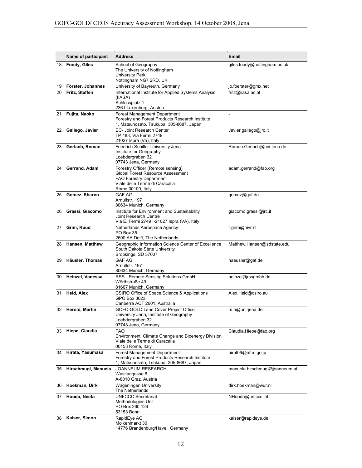|    | Name of participant | <b>Address</b>                                                                                                                                           | Email                          |
|----|---------------------|----------------------------------------------------------------------------------------------------------------------------------------------------------|--------------------------------|
| 18 | <b>Foody, Giles</b> | School of Geography<br>The University of Nottingham<br><b>University Park</b><br>Nottingham NG7 2RD, UK                                                  | giles.foody@nottingham.ac.uk   |
| 19 | Förster, Johannes   | University of Bayreuth, Germany                                                                                                                          | jo.foerster@gmx.net            |
| 20 | Fritz, Steffen      | International Institute for Applied Systems Analysis<br>(IIASA)<br>Schlossplatz 1<br>2361 Laxenburg, Austria                                             | fritz@iiasa.ac.at              |
| 21 | Fujita, Naoko       | Forest Management Department<br>Forestry and Forest Products Research Institute<br>1, Matsunosato, Tsukuba, 305-8687, Japan                              |                                |
| 22 | Gallego, Javier     | EC- Joint Research Center<br>TP 483, Via Fermi 2749<br>21027 Ispra (Va), Italy                                                                           | Javier.gallego@jrc.it          |
| 23 | Gerlach, Roman      | Friedrich-Schiller-University Jena<br>Institute for Geography<br>Loebdergraben 32<br>07743 Jena, Germany                                                 | Roman.Gerlach@uni-jena.de      |
| 24 | Gerrand, Adam       | Forestry Officer (Remote sensing)<br>Global Forest Resource Assessment<br>FAO Forestry Department<br>Viale delle Terme di Caracalla<br>Rome 00100, Italy | adam.gerrand@fao.org           |
| 25 | Gomez, Sharon       | <b>GAF AG</b><br>Arnulfstr. 197<br>80634 Munich, Germany                                                                                                 | qomez@qaf.de                   |
| 26 | Grassi, Giacomo     | Institute for Environment and Sustainability<br>Joint Research Centre<br>Via E. Fermi 2749 I-21027 Ispra (VA), Italy                                     | giacomo.grassi@jrc.it          |
| 27 | Grim, Ruud          | Netherlands Aerospace Agency<br>PO Box 35<br>2600 AA Delft, The Netherlands                                                                              | r.grim@nivr.nl                 |
|    | 28 Hansen, Matthew  | Geographic Information Science Center of Excellence<br>South Dakota State University<br>Brookings, SD 57007                                              | Matthew.Hansen@sdstate.edu     |
| 29 | Häusler, Thomas     | <b>GAF AG</b><br>Arnulfstr. 197<br>80634 Munich, Germany                                                                                                 | haeusler@gaf.de                |
| 30 | Heinzel, Vanessa    | RSS - Remote Sensing Solutions GmbH<br>Wörthstraße 49<br>81667 Munich, Germany                                                                           | heinzel@rssgmbh.de             |
| 31 | Held, Alex          | CSIRO Office of Space Science & Applications<br>GPO Box 3023<br>Canberra ACT 2601, Australia                                                             | Alex.Held@csiro.au             |
|    | 32 Herold, Martin   | GOFC-GOLD Land Cover Project Office<br>University Jena, Institute of Geography<br>Loebdergraben 32<br>07743 Jena, Germany                                | m.h@uni-jena.de                |
|    | 33 Hiepe, Claudia   | <b>FAO</b><br>Environment, Climate Change and Bioenergy Division<br>Viale delle Terme di Caracalla<br>00153 Rome, Italy                                  | Claudia.Hiepe@fao.org          |
| 34 | Hirata, Yasumasa    | Forest Management Department<br>Forestry and Forest Products Research Institute<br>1, Matsunosato, Tsukuba, 305-8687, Japan                              | hirat09@affrc.go.jp            |
| 35 | Hirschmugl, Manuela | <b>JOANNEUM RESEARCH</b><br>Wastiangasse 6<br>A-8010 Graz, Austria                                                                                       | manuela.hirschmugl@joanneum.at |
| 36 | Hoekman, Dirk       | <b>Wageningen University</b><br>The Netherlands                                                                                                          | dirk.hoekman@wur.nl            |
| 37 | Hooda, Neeta        | <b>UNFCCC Secretariat</b><br>Methodologies Unit<br>PO Box 260 124<br>53153 Bonn                                                                          | NHooda@unfccc.int              |
| 38 | Kaiser, Simon       | RapidEye AG<br>Molkenmarkt 30<br>14776 Brandenburg/Havel, Germany                                                                                        | kaiser@rapideye.de             |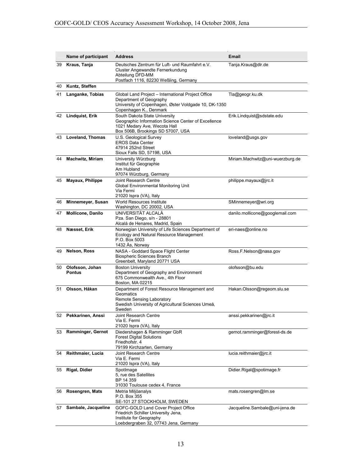|    | Name of participant              | <b>Address</b>                                                                                                                                                  | Email                            |
|----|----------------------------------|-----------------------------------------------------------------------------------------------------------------------------------------------------------------|----------------------------------|
| 39 | Kraus, Tanja                     | Deutsches Zentrum für Luft- und Raumfahrt e.V.<br>Cluster Angewandte Fernerkundung<br>Abteilung DFD-MM<br>Postfach 1116, 82230 Weßling, Germany                 | Tanja.Kraus@dlr.de               |
| 40 | Kuntz, Steffen                   |                                                                                                                                                                 |                                  |
| 41 | Langanke, Tobias                 | Global Land Project - International Project Office<br>Department of Geography<br>University of Copenhagen, Øster Voldgade 10, DK-1350<br>Copenhagen K., Denmark | Tla@geogr.ku.dk                  |
| 42 | Lindquist, Erik                  | South Dakota State University<br>Geographic Information Science Center of Excellence<br>1021 Medary Ave, Wecota Hall<br>Box 506B, Brookings SD 57007, USA       | Erik.Lindquist@sdstate.edu       |
| 43 | Loveland, Thomas                 | U.S. Geological Survey<br><b>EROS Data Center</b><br>47914 252nd Street<br>Sioux Falls SD, 57198, USA                                                           | loveland@usgs.gov                |
| 44 | <b>Machwitz, Miriam</b>          | University Würzburg<br>Institut für Geographie<br>Am Hubland<br>97074 Würzburg, Germany                                                                         | Miriam.Machwitz@uni-wuerzburg.de |
| 45 | Mayaux, Philippe                 | Joint Research Centre<br>Global Environmental Monitoring Unit<br>Via Fermi<br>21020 Ispra (VA), Italy                                                           | philippe.mayaux@jrc.it           |
| 46 | Minnemeyer, Susan                | World Resources Institute<br>Washington, DC 20002, USA                                                                                                          | SMinnemeyer@wri.org              |
| 47 | <b>Mollicone, Danilo</b>         | UNIVERSITÄT ALCALÁ<br>Pza. San Diego, s/n - 28801<br>Alcalá de Henares, Madrid, Spain                                                                           | danilo.mollicone@googlemail.com  |
| 48 | Næsset, Erik                     | Norwegian University of Life Sciences Department of<br>Ecology and Natural Resource Management<br>P.O. Box 5003<br>1432 Ås, Norway                              | eri-naes@online.no               |
| 49 | Nelson, Ross                     | NASA - Goddard Space Flight Center<br><b>Biospheric Sciences Branch</b><br>Greenbelt, Maryland 20771 USA                                                        | Ross.F.Nelson@nasa.gov           |
| 50 | Olofsson, Johan<br><b>Pontus</b> | <b>Boston University</b><br>Department of Geography and Environment<br>675 Commonwealth Ave., 4th Floor<br>Boston, MA 02215                                     | olofsson@bu.edu                  |
| 51 | Olsson, Håkan                    | Department of Forest Resource Management and<br>Geomatics<br>Remote Sensing Laboratory<br>Swedish University of Agricultural Sciences Umeå,<br>Sweden           | Hakan.Olsson@regeom.slu.se       |
| 52 | Pekkarinen. Anssi                | Joint Research Centre<br>Via E. Fermi<br>21020 Ispra (VA), Italy                                                                                                | anssi.pekkarinen@jrc.it          |
| 53 | Ramminger, Gernot                | Diedershagen & Ramminger GbR<br><b>Forest Digital Solutions</b><br>Friedhofstr. 4<br>79199 Kirchzarten, Germany                                                 | gernot.ramminger@forest-ds.de    |
| 54 | Reithmaier, Lucia                | Joint Research Centre<br>Via E. Fermi<br>21020 Ispra (VA), Italy                                                                                                | lucia.reithmaier@jrc.it          |
| 55 | Rigal, Didier                    | SpotImage<br>5, rue des Satellites<br>BP 14 359<br>31030 Toulouse cedex 4, France                                                                               | Didier.Rigal@spotimage.fr        |
| 56 | Rosengren, Mats                  | Metria Miljöanalys<br>P.O. Box 355<br>SE-101 27 STOCKHOLM, SWEDEN                                                                                               | mats.rosengren@lm.se             |
| 57 | Sambale, Jacqueline              | GOFC-GOLD Land Cover Project Office<br>Friedrich Schiller University Jena,<br>Institute for Geography<br>Loebdergraben 32, 07743 Jena, Germany                  | Jacqueline.Sambale@uni-jena.de   |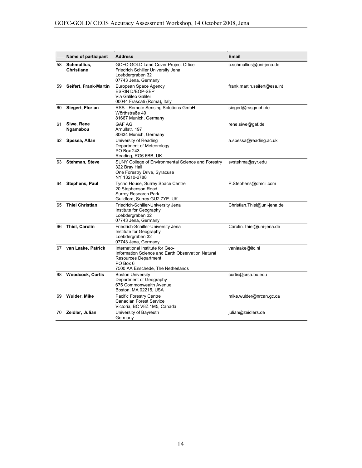|    | Name of participant              | <b>Address</b>                                                                                                                                                        | <b>Email</b>                 |
|----|----------------------------------|-----------------------------------------------------------------------------------------------------------------------------------------------------------------------|------------------------------|
| 58 | Schmullius,<br><b>Christiane</b> | GOFC-GOLD Land Cover Project Office<br>Friedrich Schiller University Jena<br>Loebdergraben 32<br>07743 Jena, Germany                                                  | c.schmullius@uni-jena.de     |
| 59 | Seifert, Frank-Martin            | European Space Agency<br><b>ESRIN D/EOP-SEP</b><br>Via Galileo Galilei<br>00044 Frascati (Roma), Italy                                                                | frank.martin.seifert@esa.int |
| 60 | Siegert, Florian                 | RSS - Remote Sensing Solutions GmbH<br>Wörthstraße 49<br>81667 Munich, Germany                                                                                        | siegert@rssgmbh.de           |
| 61 | Siwe, Rene<br>Ngamabou           | <b>GAF AG</b><br>Arnulfstr. 197<br>80634 Munich, Germany                                                                                                              | rene.siwe@gaf.de             |
|    | 62 Spessa, Allan                 | University of Reading<br>Department of Meteorology<br>PO Box 243<br>Reading, RG6 6BB, UK                                                                              | a.spessa@reading.ac.uk       |
| 63 | <b>Stehman, Steve</b>            | SUNY College of Environmental Science and Forestry<br>322 Bray Hall<br>One Forestry Drive, Syracuse<br>NY 13210-2788                                                  | svstehma@syr.edu             |
| 64 | Stephens, Paul                   | Tycho House, Surrey Space Centre<br>20 Stephenson Road<br><b>Surrey Research Park</b><br>Guildford, Surrey GU2 7YE, UK                                                | P.Stephens@dmcii.com         |
| 65 | <b>Thiel Christian</b>           | Friedrich-Schiller-University Jena<br>Institute for Geography<br>Loebdergraben 32<br>07743 Jena, Germany                                                              | Christian. Thiel@uni-jena.de |
| 66 | <b>Thiel, Carolin</b>            | Friedrich-Schiller-University Jena<br>Institute for Geography<br>Loebdergraben 32<br>07743 Jena, Germany                                                              | Carolin.Thiel@uni-jena.de    |
| 67 | van Laake, Patrick               | International Institute for Geo-<br>Information Science and Earth Observation Natural<br><b>Resources Department</b><br>PO Box 6<br>7500 AA Enschede, The Netherlands | vanlaake@itc.nl              |
| 68 | <b>Woodcock, Curtis</b>          | <b>Boston University</b><br>Department of Geography<br>675 Commonwealth Avenue<br>Boston, MA 02215, USA                                                               | curtis@crsa.bu.edu           |
| 69 | Wulder, Mike                     | Pacific Forestry Centre<br><b>Canadian Forest Service</b><br>Victoria, BC V8Z 1M5, Canada                                                                             | mike.wulder@nrcan.gc.ca      |
| 70 | Zeidler, Julian                  | University of Bayreuth<br>Germany                                                                                                                                     | julian@zeidlers.de           |